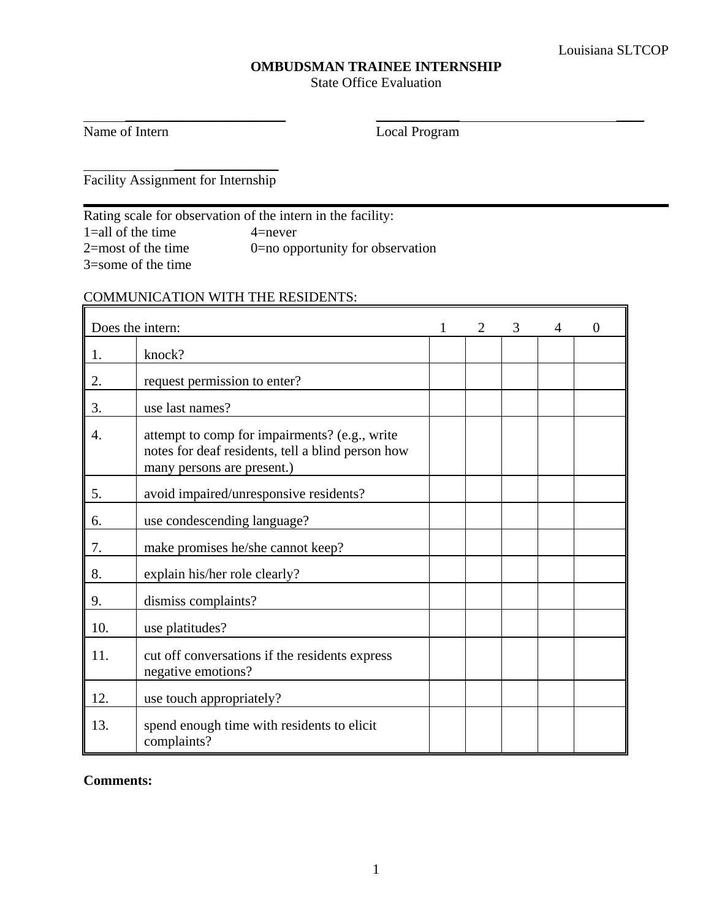## **OMBUDSMAN TRAINEE INTERNSHIP**

State Office Evaluation

 $\overline{\phantom{a}}$  ,  $\overline{\phantom{a}}$  ,  $\overline{\phantom{a}}$  ,  $\overline{\phantom{a}}$  ,  $\overline{\phantom{a}}$  ,  $\overline{\phantom{a}}$  ,  $\overline{\phantom{a}}$  ,  $\overline{\phantom{a}}$  ,  $\overline{\phantom{a}}$  ,  $\overline{\phantom{a}}$  ,  $\overline{\phantom{a}}$  ,  $\overline{\phantom{a}}$  ,  $\overline{\phantom{a}}$  ,  $\overline{\phantom{a}}$  ,  $\overline{\phantom{a}}$  ,  $\overline{\phantom{a}}$ 

Name of Intern Local Program

 \_\_\_\_\_\_\_\_\_\_\_\_\_\_\_ Facility Assignment for Internship

Rating scale for observation of the intern in the facility: 1=all of the time  $4$ =never<br>
2=most of the time  $0$ =no opp 0=no opportunity for observation 3=some of the time

# COMMUNICATION WITH THE RESIDENTS:

|     | Does the intern:                                                                                                                 | $\mathfrak{D}$ | 3 | 4 | $\overline{0}$ |
|-----|----------------------------------------------------------------------------------------------------------------------------------|----------------|---|---|----------------|
| 1.  | knock?                                                                                                                           |                |   |   |                |
| 2.  | request permission to enter?                                                                                                     |                |   |   |                |
| 3.  | use last names?                                                                                                                  |                |   |   |                |
| 4.  | attempt to comp for impairments? (e.g., write<br>notes for deaf residents, tell a blind person how<br>many persons are present.) |                |   |   |                |
| 5.  | avoid impaired/unresponsive residents?                                                                                           |                |   |   |                |
| 6.  | use condescending language?                                                                                                      |                |   |   |                |
| 7.  | make promises he/she cannot keep?                                                                                                |                |   |   |                |
| 8.  | explain his/her role clearly?                                                                                                    |                |   |   |                |
| 9.  | dismiss complaints?                                                                                                              |                |   |   |                |
| 10. | use platitudes?                                                                                                                  |                |   |   |                |
| 11. | cut off conversations if the residents express<br>negative emotions?                                                             |                |   |   |                |
| 12. | use touch appropriately?                                                                                                         |                |   |   |                |
| 13. | spend enough time with residents to elicit<br>complaints?                                                                        |                |   |   |                |

**Comments:**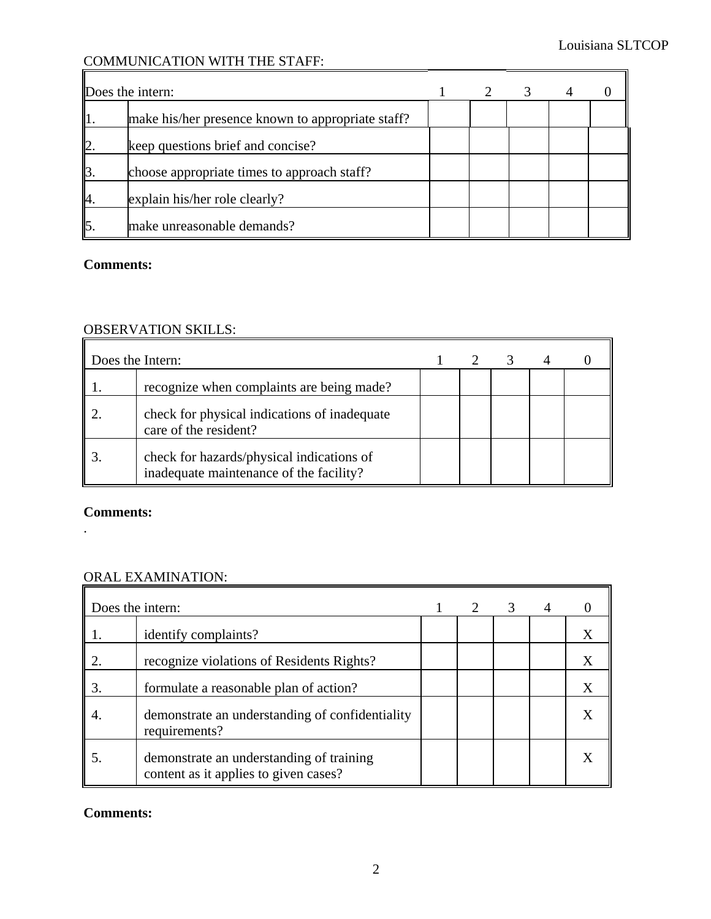## COMMUNICATION WITH THE STAFF:

|                          | Does the intern:                                  |  |  |  |
|--------------------------|---------------------------------------------------|--|--|--|
|                          | make his/her presence known to appropriate staff? |  |  |  |
| $\mathsf{I}\!\mathsf{2}$ | keep questions brief and concise?                 |  |  |  |
| l3                       | choose appropriate times to approach staff?       |  |  |  |
| 4.                       | explain his/her role clearly?                     |  |  |  |
| $\vert$ <sub>5</sub> .   | make unreasonable demands?                        |  |  |  |

#### **Comments:**

## OBSERVATION SKILLS:

| Does the Intern: |                                                                                      |  |  |  |
|------------------|--------------------------------------------------------------------------------------|--|--|--|
|                  | recognize when complaints are being made?                                            |  |  |  |
|                  | check for physical indications of inadequate<br>care of the resident?                |  |  |  |
|                  | check for hazards/physical indications of<br>inadequate maintenance of the facility? |  |  |  |

#### **Comments:**

.

## ORAL EXAMINATION:

| Does the intern: |                                                                                   |  | 3 |  |
|------------------|-----------------------------------------------------------------------------------|--|---|--|
|                  | identify complaints?                                                              |  |   |  |
|                  | recognize violations of Residents Rights?                                         |  |   |  |
| 3.               | formulate a reasonable plan of action?                                            |  |   |  |
|                  | demonstrate an understanding of confidentiality<br>requirements?                  |  |   |  |
|                  | demonstrate an understanding of training<br>content as it applies to given cases? |  |   |  |

#### **Comments:**